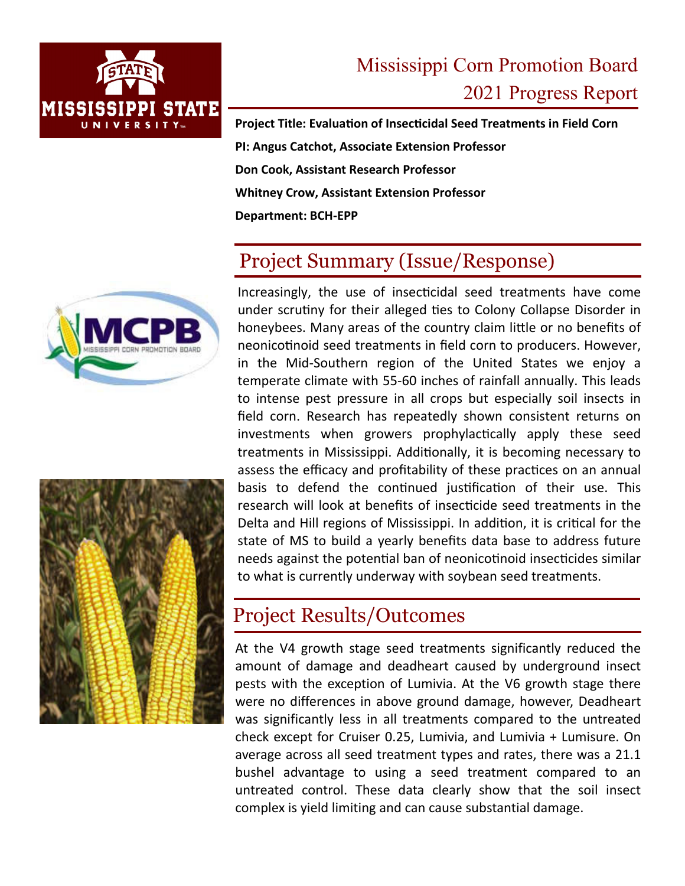

# Mississippi Corn Promotion Board 2021 Progress Report

**Project Title: Evaluation of Insecticidal Seed Treatments in Field Corn PI: Angus Catchot, Associate Extension Professor Don Cook, Assistant Research Professor Whitney Crow, Assistant Extension Professor Department: BCH‐EPP** 

## Project Summary (Issue/Response)





Increasingly, the use of insecticidal seed treatments have come under scrutiny for their alleged ties to Colony Collapse Disorder in honeybees. Many areas of the country claim little or no benefits of neonicotinoid seed treatments in field corn to producers. However, in the Mid‐Southern region of the United States we enjoy a temperate climate with 55‐60 inches of rainfall annually. This leads to intense pest pressure in all crops but especially soil insects in field corn. Research has repeatedly shown consistent returns on investments when growers prophylactically apply these seed treatments in Mississippi. Additionally, it is becoming necessary to assess the efficacy and profitability of these practices on an annual basis to defend the continued justification of their use. This research will look at benefits of insecticide seed treatments in the Delta and Hill regions of Mississippi. In addition, it is critical for the state of MS to build a yearly benefits data base to address future needs against the potential ban of neonicotinoid insecticides similar to what is currently underway with soybean seed treatments.

### Project Results/Outcomes

At the V4 growth stage seed treatments significantly reduced the amount of damage and deadheart caused by underground insect pests with the exception of Lumivia. At the V6 growth stage there were no differences in above ground damage, however, Deadheart was significantly less in all treatments compared to the untreated check except for Cruiser 0.25, Lumivia, and Lumivia + Lumisure. On average across all seed treatment types and rates, there was a 21.1 bushel advantage to using a seed treatment compared to an untreated control. These data clearly show that the soil insect complex is yield limiting and can cause substantial damage.